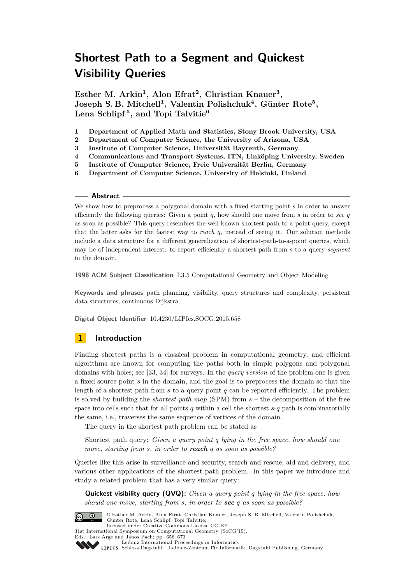# **Shortest Path to a Segment and Quickest Visibility Queries**

**Esther M. Arkin<sup>1</sup> , Alon Efrat<sup>2</sup> , Christian Knauer<sup>3</sup> , Joseph S. B. Mitchell<sup>1</sup> , Valentin Polishchuk<sup>4</sup> , Günter Rote<sup>5</sup> , Lena Schlipf <sup>5</sup> , and Topi Talvitie<sup>6</sup>**

- **1 Department of Applied Math and Statistics, Stony Brook University, USA**
- **2 Department of Computer Science, the University of Arizona, USA**
- **3 Institute of Computer Science, Universität Bayreuth, Germany**
- **4 Communications and Transport Systems, ITN, Linköping University, Sweden**
- **5 Institute of Computer Science, Freie Universität Berlin, Germany**
- **6 Department of Computer Science, University of Helsinki, Finland**

#### **Abstract**

We show how to preprocess a polygonal domain with a fixed starting point *s* in order to answer efficiently the following queries: Given a point *q*, how should one move from *s* in order to *see q* as soon as possible? This query resembles the well-known shortest-path-to-a-point query, except that the latter asks for the fastest way to *reach q*, instead of seeing it. Our solution methods include a data structure for a different generalization of shortest-path-to-a-point queries, which may be of independent interest: to report efficiently a shortest path from *s* to a query *segment* in the domain.

**1998 ACM Subject Classification** I.3.5 Computational Geometry and Object Modeling

**Keywords and phrases** path planning, visibility, query structures and complexity, persistent data structures, continuous Dijkstra

**Digital Object Identifier** [10.4230/LIPIcs.SOCG.2015.658](http://dx.doi.org/10.4230/LIPIcs.SOCG.2015.658)

# **1 Introduction**

Finding shortest paths is a classical problem in computational geometry, and efficient algorithms are known for computing the paths both in simple polygons and polygonal domains with holes; see [\[33,](#page-14-0) [34\]](#page-14-1) for surveys. In the *query version* of the problem one is given a fixed source point *s* in the domain, and the goal is to preprocess the domain so that the length of a shortest path from *s* to a query point *q* can be reported efficiently. The problem is solved by building the *shortest path map* (SPM) from *s* – the decomposition of the free space into cells such that for all points *q* within a cell the shortest *s*-*q* path is combinatorially the same, i.e., traverses the same sequence of vertices of the domain.

The query in the shortest path problem can be stated as

Shortest path query: *Given a query point q lying in the free space, how should one move, starting from s, in order to reach q as soon as possible?*

Queries like this arise in surveillance and security, search and rescue, aid and delivery, and various other applications of the shortest path problem. In this paper we introduce and study a related problem that has a very similar query:

**Quickest visibility query (QVQ):** *Given a query point q lying in the free space, how should one move, starting from s, in order to see q as soon as possible?*



© Esther M. Arkin, Alon Efrat, Christian Knauer, Joseph S. B. Mitchell, Valentin Polishchuk, Günter Rote, Lena Schlipf, Topi Talvitie;

licensed under Creative Commons License CC-BY 31st International Symposium on Computational Geometry (SoCG'15).

Eds.: Lars Arge and János Pach; pp. 658[–673](#page-15-0)

[Leibniz International Proceedings in Informatics](http://www.dagstuhl.de/lipics/)

LEIDILLE INFORMATION LEIDILLE LIPICS [Schloss Dagstuhl – Leibniz-Zentrum für Informatik, Dagstuhl Publishing, Germany](http://www.dagstuhl.de)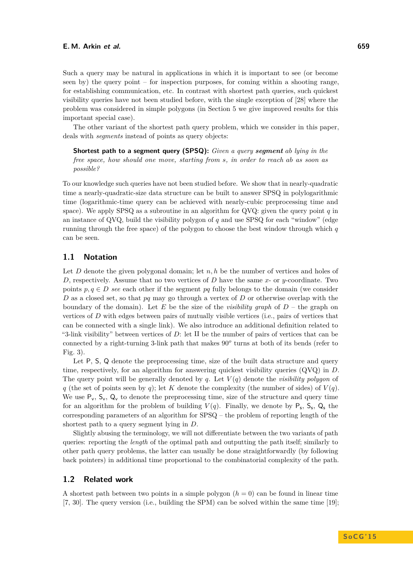Such a query may be natural in applications in which it is important to see (or become seen by) the query point – for inspection purposes, for coming within a shooting range, for establishing communication, etc. In contrast with shortest path queries, such quickest visibility queries have not been studied before, with the single exception of [\[28\]](#page-14-2) where the problem was considered in simple polygons (in Section [5](#page-11-0) we give improved results for this important special case).

The other variant of the shortest path query problem, which we consider in this paper, deals with *segments* instead of points as query objects:

**Shortest path to a segment query (SPSQ):** *Given a query segment ab lying in the free space, how should one move, starting from s, in order to reach ab as soon as possible?*

To our knowledge such queries have not been studied before. We show that in nearly-quadratic time a nearly-quadratic-size data structure can be built to answer SPSQ in polylogarithmic time (logarithmic-time query can be achieved with nearly-cubic preprocessing time and space). We apply SPSQ as a subroutine in an algorithm for QVQ: given the query point *q* in an instance of QVQ, build the visibility polygon of *q* and use SPSQ for each "window" (edge running through the free space) of the polygon to choose the best window through which *q* can be seen.

# <span id="page-1-0"></span>**1.1 Notation**

Let *D* denote the given polygonal domain; let *n, h* be the number of vertices and holes of *D*, respectively. Assume that no two vertices of *D* have the same *x*- or *y*-coordinate. Two points  $p, q \in D$  *see* each other if the segment  $pq$  fully belongs to the domain (we consider *D* as a closed set, so that *pq* may go through a vertex of *D* or otherwise overlap with the boundary of the domain). Let  $E$  be the size of the *visibility graph* of  $D$  – the graph on vertices of *D* with edges between pairs of mutually visible vertices (i.e., pairs of vertices that can be connected with a single link). We also introduce an additional definition related to "3-link visibility" between vertices of *D*: let <sup>Π</sup> be the number of pairs of vertices that can be connected by a right-turning 3-link path that makes 90*<sup>o</sup>* turns at both of its bends (refer to Fig. [3\)](#page-6-0).

Let P, S, Q denote the preprocessing time, size of the built data structure and query time, respectively, for an algorithm for answering quickest visibility queries (QVQ) in *D*. The query point will be generally denoted by *q*. Let *V* (*q*) denote the *visibility polygon* of *q* (the set of points seen by *q*); let *K* denote the complexity (the number of sides) of  $V(q)$ . We use  $P_v$ ,  $S_v$ ,  $Q_v$  to denote the preprocessing time, size of the structure and query time for an algorithm for the problem of building  $V(q)$ . Finally, we denote by  $P_s$ ,  $S_s$ ,  $Q_s$  the corresponding parameters of an algorithm for SPSQ – the problem of reporting length of the shortest path to a query segment lying in *D*.

Slightly abusing the terminology, we will not differentiate between the two variants of path queries: reporting the *length* of the optimal path and outputting the path itself; similarly to other path query problems, the latter can usually be done straightforwardly (by following back pointers) in additional time proportional to the combinatorial complexity of the path.

#### <span id="page-1-1"></span>**1.2 Related work**

A shortest path between two points in a simple polygon  $(h = 0)$  can be found in linear time [\[7,](#page-13-0) [30\]](#page-14-3). The query version (i.e., building the SPM) can be solved within the same time [\[19\]](#page-14-4);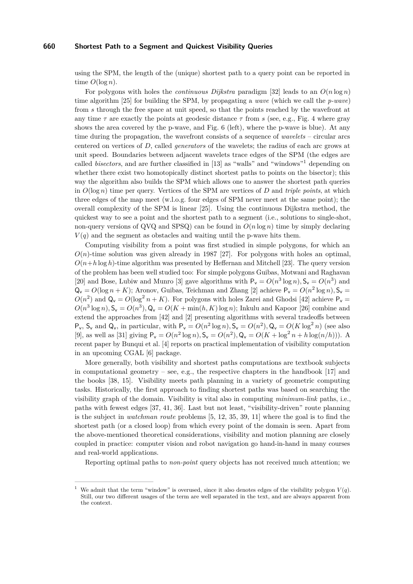using the SPM, the length of the (unique) shortest path to a query point can be reported in time  $O(\log n)$ .

For polygons with holes the *continuous Dijkstra* paradigm [\[32\]](#page-14-5) leads to an  $O(n \log n)$ time algorithm [\[25\]](#page-14-6) for building the SPM, by propagating a *wave* (which we call the *p-wave*) from *s* through the free space at unit speed, so that the points reached by the wavefront at any time  $\tau$  are exactly the points at geodesic distance  $\tau$  from *s* (see, e.g., Fig. [4](#page-8-0) where gray shows the area covered by the p-wave, and Fig. [6](#page-10-0) (left), where the p-wave is blue). At any time during the propagation, the wavefront consists of a sequence of *wavelets* – circular arcs centered on vertices of *D*, called *generators* of the wavelets; the radius of each arc grows at unit speed. Boundaries between adjacent wavelets trace edges of the SPM (the edges are called *bisectors*, and are further classified in [\[13\]](#page-13-1) as "walls" and "windows"[1](#page-2-0) depending on whether there exist two homotopically distinct shortest paths to points on the bisector); this way the algorithm also builds the SPM which allows one to answer the shortest path queries in  $O(\log n)$  time per query. Vertices of the SPM are vertices of *D* and *triple points*, at which three edges of the map meet (w.l.o.g. four edges of SPM never meet at the same point); the overall complexity of the SPM is linear [\[25\]](#page-14-6). Using the continuous Dijkstra method, the quickest way to see a point and the shortest path to a segment (i.e., solutions to single-shot, non-query versions of QVQ and SPSQ) can be found in  $O(n \log n)$  time by simply declaring  $V(q)$  and the segment as obstacles and waiting until the p-wave hits them.

Computing visibility from a point was first studied in simple polygons, for which an  $O(n)$ -time solution was given already in 1987 [\[27\]](#page-14-7). For polygons with holes an optimal,  $O(n+h\log h)$ -time algorithm was presented by Heffernan and Mitchell [\[23\]](#page-14-8). The query version of the problem has been well studied too: For simple polygons Guibas, Motwani and Raghavan [\[20\]](#page-14-9) and Bose, Lubiw and Munro [\[3\]](#page-13-2) gave algorithms with  $P_v = O(n^3 \log n)$ ,  $S_v = O(n^3)$  and  $Q_v = O(\log n + K)$ ; Aronov, Guibas, Teichman and Zhang [\[2\]](#page-13-3) achieve  $P_v = O(n^2 \log n)$ ,  $S_v =$  $O(n^2)$  and  $\mathsf{Q}_v = O(\log^2 n + K)$ . For polygons with holes Zarei and Ghodsi [\[42\]](#page-15-1) achieve  $\mathsf{P}_v$  =  $O(n^3 \log n)$ ,  $S_v = O(n^3)$ ,  $Q_v = O(K + \min(h, K) \log n)$ ; Inkulu and Kapoor [\[26\]](#page-14-10) combine and extend the approaches from [\[42\]](#page-15-1) and [\[2\]](#page-13-3) presenting algorithms with several tradeoffs between  $P_v$ ,  $S_v$  and  $Q_v$ , in particular, with  $P_v = O(n^2 \log n)$ ,  $S_v = O(n^2)$ ,  $Q_v = O(K \log^2 n)$  (see also [\[9\]](#page-13-4), as well as [\[31\]](#page-14-11) giving  $P_v = O(n^2 \log n)$ ,  $S_v = O(n^2)$ ,  $Q_v = O(K + \log^2 n + h \log(n/h))$ . A recent paper by Bunqui et al. [\[4\]](#page-13-5) reports on practical implementation of visibility computation in an upcoming CGAL [\[6\]](#page-13-6) package.

More generally, both visibility and shortest paths computations are textbook subjects in computational geometry – see, e.g., the respective chapters in the handbook  $[17]$  and the books [\[38,](#page-14-13) [15\]](#page-13-7). Visibility meets path planning in a variety of geometric computing tasks. Historically, the first approach to finding shortest paths was based on searching the visibility graph of the domain. Visibility is vital also in computing *minimum-link* paths, i.e., paths with fewest edges [\[37,](#page-14-14) [41,](#page-15-2) [36\]](#page-14-15). Last but not least, "visibility-driven" route planning is the subject in *watchman route* problems [\[5,](#page-13-8) [12,](#page-13-9) [35,](#page-14-16) [39,](#page-15-3) [11\]](#page-13-10) where the goal is to find the shortest path (or a closed loop) from which every point of the domain is seen. Apart from the above-mentioned theoretical considerations, visibility and motion planning are closely coupled in practice: computer vision and robot navigation go hand-in-hand in many courses and real-world applications.

Reporting optimal paths to *non-point* query objects has not received much attention; we

<span id="page-2-0"></span>We admit that the term "window" is overused, since it also denotes edges of the visibility polygon  $V(q)$ . Still, our two different usages of the term are well separated in the text, and are always apparent from the context.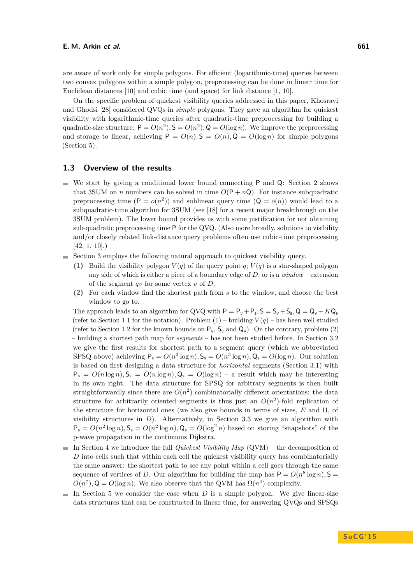are aware of work only for simple polygons. For efficient (logarithmic-time) queries between two convex polygons within a simple polygon, preprocessing can be done in linear time for Euclidean distances [\[10\]](#page-13-11) and cubic time (and space) for link distance [\[1,](#page-13-12) [10\]](#page-13-11).

On the specific problem of quickest visibility queries addressed in this paper, Khosravi and Ghodsi [\[28\]](#page-14-2) considered QVQs in *simple* polygons. They gave an algorithm for quickest visibility with logarithmic-time queries after quadratic-time preprocessing for building a quadratic-size structure:  $P = O(n^2)$ ,  $S = O(n^2)$ ,  $Q = O(\log n)$ . We improve the preprocessing and storage to linear, achieving  $P = O(n)$ ,  $S = O(n)$ ,  $Q = O(\log n)$  for simple polygons (Section [5\)](#page-11-0).

## **1.3 Overview of the results**

- $\blacksquare$  We start by giving a conditional lower bound connecting P and Q: Section [2](#page-4-0) shows that 3SUM on *n* numbers can be solved in time  $O(P + nQ)$ . For instance subquadratic preprocessing time  $(P = o(n^2))$  and sublinear query time  $(Q = o(n))$  would lead to a subquadratic-time algorithm for 3SUM (see [\[18\]](#page-14-17) for a recent major breakthrough on the 3SUM problem). The lower bound provides us with some justification for not obtaining sub-quadratic preprocessing time P for the QVQ. (Also more broadly, solutions to visibility and/or closely related link-distance query problems often use cubic-time preprocessing [\[42,](#page-15-1) [1,](#page-13-12) [10\]](#page-13-11).)
- Section [3](#page-4-1) employs the following natural approach to quickest visibility query.
	- **(1)** Build the visibility polygon *V* (*q*) of the query point *q*; *V* (*q*) is a star-shaped polygon any side of which is either a piece of a boundary edge of *D*, or is a *window* – extension of the segment *qv* for some vertex *v* of *D*.
	- **(2)** For each window find the shortest path from *s* to the window, and choose the best window to go to.

The approach leads to an algorithm for QVQ with  $P = P_v + P_s$ ,  $S = S_v + S_s$ ,  $Q = Q_v + KQ_s$ (refer to Section [1.1](#page-1-0) for the notation). Problem  $(1)$  – building  $V(q)$  – has been well studied (refer to Section [1.2](#page-1-1) for the known bounds on  $P_v$ ,  $S_v$  and  $Q_v$ ). On the contrary, problem (2) – building a shortest path map for *segments* – has not been studied before. In Section [3.2](#page-6-1) we give the first results for shortest path to a segment query (which we abbreviated SPSQ above) achieving  $P_s = O(n^3 \log n)$ ,  $S_s = O(n^3 \log n)$ ,  $Q_s = O(\log n)$ . Our solution is based on first designing a data structure for *horizontal* segments (Section [3.1\)](#page-5-0) with  $P_s = O(n \log n)$ ,  $S_s = O(n \log n)$ ,  $Q_s = O(\log n)$  – a result which may be interesting in its own right. The data structure for SPSQ for arbitrary segments is then built straightforwardly since there are  $O(n^2)$  combinatorially different orientations: the data structure for arbitrarily oriented segments is thus just an  $O(n^2)$ -fold replication of the structure for horizontal ones (we also give bounds in terms of sizes, *E* and <sup>Π</sup> , of visibility structures in *D*). Alternatively, in Section [3.3](#page-7-0) we give an algorithm with  $P_s = O(n^2 \log n)$ ,  $S_s = O(n^2 \log n)$ ,  $Q_s = O(\log^2 n)$  based on storing "snapshots" of the p-wave propagation in the continuous Dijkstra.

- $\blacksquare$  In Section [4](#page-9-0) we introduce the full *Quickest Visibility Map* (QVM) the decomposition of *D* into cells such that within each cell the quickest visibility query has combinatorially the same answer: the shortest path to see any point within a cell goes through the same sequence of vertices of *D*. Our algorithm for building the map has  $P = O(n^8 \log n)$ ,  $S =$  $O(n^7)$ ,  $Q = O(\log n)$ . We also observe that the QVM has  $\Omega(n^4)$  complexity.
- In Section [5](#page-11-0) we consider the case when  $D$  is a simple polygon. We give linear-size data structures that can be constructed in linear time, for answering QVQs and SPSQs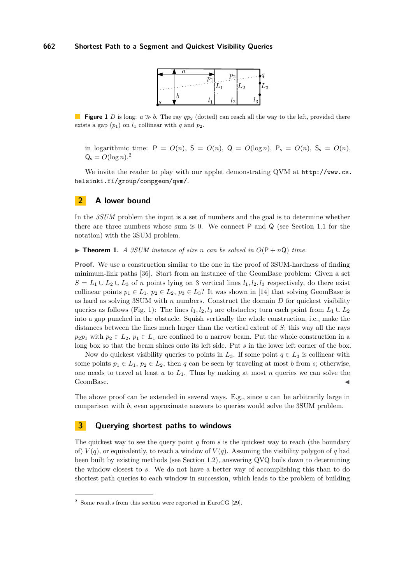

<span id="page-4-3"></span>**Figure 1** *D* is long:  $a \gg b$ . The ray  $qp_2$  (dotted) can reach all the way to the left, provided there exists a gap  $(p_1)$  on  $l_1$  collinear with  $q$  and  $p_2$ .

in logarithmic time:  $P = O(n)$ ,  $S = O(n)$ ,  $Q = O(\log n)$ ,  $P_s = O(n)$ ,  $S_s = O(n)$ ,  $Q_s = O(\log n)^2$  $Q_s = O(\log n)^2$ .

We invite the reader to play with our applet demonstrating QVM at [http://www.cs.](http://www.cs.helsinki.fi/group/compgeom/qvm/) [helsinki.fi/group/compgeom/qvm/](http://www.cs.helsinki.fi/group/compgeom/qvm/).

## <span id="page-4-0"></span>**2 A lower bound**

In the *3SUM* problem the input is a set of numbers and the goal is to determine whether there are three numbers whose sum is 0. We connect P and Q (see Section [1.1](#page-1-0) for the notation) with the 3SUM problem.

 $\triangleright$  **Theorem 1.** *A 3SUM instance of size n can be solved in*  $O(P + nQ)$  *time.* 

**Proof.** We use a construction similar to the one in the proof of 3SUM-hardness of finding minimum-link paths [\[36\]](#page-14-15). Start from an instance of the GeomBase problem: Given a set  $S = L_1 \cup L_2 \cup L_3$  of *n* points lying on 3 vertical lines  $l_1, l_2, l_3$  respectively, do there exist collinear points  $p_1 \in L_1$ ,  $p_2 \in L_2$ ,  $p_3 \in L_3$ ? It was shown in [\[14\]](#page-13-13) that solving GeomBase is as hard as solving 3SUM with *n* numbers. Construct the domain *D* for quickest visibility queries as follows (Fig. [1\)](#page-4-3): The lines  $l_1, l_2, l_3$  are obstacles; turn each point from  $L_1 \cup L_2$ into a gap punched in the obstacle. Squish vertically the whole construction, i.e., make the distances between the lines much larger than the vertical extent of *S*; this way all the rays  $p_2p_1$  with  $p_2 \in L_2$ ,  $p_1 \in L_1$  are confined to a narrow beam. Put the whole construction in a long box so that the beam shines onto its left side. Put *s* in the lower left corner of the box.

Now do quickest visibility queries to points in  $L_3$ . If some point  $q \in L_3$  is collinear with some points  $p_1 \in L_1$ ,  $p_2 \in L_2$ , then q can be seen by traveling at most b from s; otherwise, one needs to travel at least *a* to *L*1. Thus by making at most *n* queries we can solve the  $\alpha$  GeomBase.

The above proof can be extended in several ways. E.g., since *a* can be arbitrarily large in comparison with *b*, even approximate answers to queries would solve the 3SUM problem.

## <span id="page-4-1"></span>**3 Querying shortest paths to windows**

The quickest way to see the query point *q* from *s* is the quickest way to reach (the boundary of)  $V(q)$ , or equivalently, to reach a window of  $V(q)$ . Assuming the visibility polygon of q had been built by existing methods (see Section [1.2\)](#page-1-1), answering QVQ boils down to determining the window closest to *s*. We do not have a better way of accomplishing this than to do shortest path queries to each window in succession, which leads to the problem of building

<span id="page-4-2"></span><sup>2</sup> Some results from this section were reported in EuroCG [\[29\]](#page-14-18).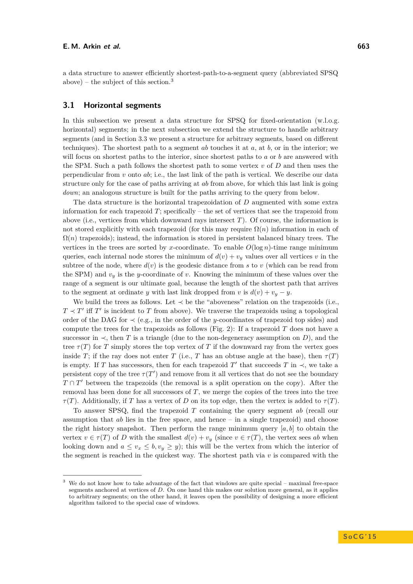a data structure to answer efficiently shortest-path-to-a-segment query (abbreviated SPSQ above) – the subject of this section.<sup>[3](#page-5-1)</sup>

#### <span id="page-5-0"></span>**3.1 Horizontal segments**

In this subsection we present a data structure for SPSQ for fixed-orientation  $(w.l.o.g.$ horizontal) segments; in the next subsection we extend the structure to handle arbitrary segments (and in Section [3.3](#page-7-0) we present a structure for arbitrary segments, based on different techniques). The shortest path to a segment *ab* touches it at *a*, at *b*, or in the interior; we will focus on shortest paths to the interior, since shortest paths to *a* or *b* are answered with the SPM. Such a path follows the shortest path to some vertex *v* of *D* and then uses the perpendicular from *v* onto *ab*; i.e., the last link of the path is vertical. We describe our data structure only for the case of paths arriving at *ab* from above, for which this last link is going *down*; an analogous structure is built for the paths arriving to the query from below.

The data structure is the horizontal trapezoidation of *D* augmented with some extra information for each trapezoid *T*; specifically – the set of vertices that see the trapezoid from above (i.e., vertices from which downward rays intersect *T*). Of course, the information is not stored explicitly with each trapezoid (for this may require Ω(*n*) information in each of  $\Omega(n)$  trapezoids); instead, the information is stored in persistent balanced binary trees. The vertices in the trees are sorted by *x*-coordinate. To enable  $O(\log n)$ -time range minimum queries, each internal node stores the minimum of  $d(v) + v_y$  values over all vertices *v* in the subtree of the node, where  $d(v)$  is the geodesic distance from  $s$  to  $v$  (which can be read from the SPM) and *v<sup>y</sup>* is the *y*-coordinate of *v*. Knowing the minimum of these values over the range of a segment is our ultimate goal, because the length of the shortest path that arrives to the segment at ordinate *y* with last link dropped from *v* is  $d(v) + v_y - y$ .

We build the trees as follows. Let  $\prec$  be the "aboveness" relation on the trapezoids (i.e.,  $T \prec T'$  iff *T'* is incident to *T* from above). We traverse the trapezoids using a topological order of the DAG for  $\prec$  (e.g., in the order of the *y*-coordinates of trapezoid top sides) and compute the trees for the trapezoids as follows (Fig. [2\)](#page-6-0): If a trapezoid  $T$  does not have a successor in  $\prec$ , then *T* is a triangle (due to the non-degeneracy assumption on *D*), and the tree  $\tau(T)$  for *T* simply stores the top vertex of *T* if the downward ray from the vertex goes inside *T*; if the ray does not enter *T* (i.e., *T* has an obtuse angle at the base), then  $\tau(T)$ is empty. If *T* has successors, then for each trapezoid  $T'$  that succeeds *T* in  $\prec$ , we take a persistent copy of the tree  $\tau(T')$  and remove from it all vertices that do not see the boundary *T* ∩ *T*<sup>'</sup> between the trapezoids (the removal is a split operation on the copy). After the removal has been done for all successors of *T*, we merge the copies of the trees into the tree *τ*(*T*). Additionally, if *T* has a vertex of *D* on its top edge, then the vertex is added to *τ*(*T*).

To answer SPSQ, find the trapezoid *T* containing the query segment *ab* (recall our assumption that *ab* lies in the free space, and hence – in a single trapezoid) and choose the right history snapshot. Then perform the range minimum query  $[a, b]$  to obtain the vertex  $v \in \tau(T)$  of *D* with the smallest  $d(v) + v_y$  (since  $v \in \tau(T)$ , the vertex sees *ab* when looking down and  $a \leq v_x \leq b, v_y \geq y$ ; this will be the vertex from which the interior of the segment is reached in the quickest way. The shortest path via *v* is compared with the

<span id="page-5-1"></span><sup>3</sup> We do not know how to take advantage of the fact that windows are quite special – maximal free-space segments anchored at vertices of *D*. On one hand this makes our solution more general, as it applies to arbitrary segments; on the other hand, it leaves open the possibility of designing a more efficient algorithm tailored to the special case of windows.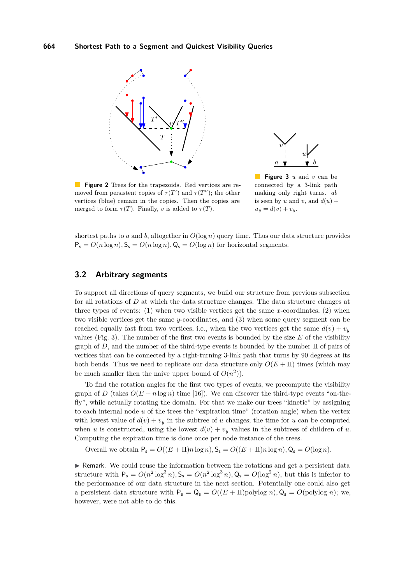<span id="page-6-0"></span>



**Figure 2** Trees for the trapezoids. Red vertices are removed from persistent copies of  $\tau(T')$  and  $\tau(T'')$ ; the other vertices (blue) remain in the copies. Then the copies are merged to form  $\tau(T)$ . Finally, *v* is added to  $\tau(T)$ .

**Figure 3** *u* and *v* can be connected by a 3-link path making only right turns. *ab* is seen by *u* and *v*, and  $d(u)$  +  $u_y = d(v) + v_y$ .

shortest paths to *a* and *b*, altogether in  $O(\log n)$  query time. Thus our data structure provides  $P_s = O(n \log n)$ ,  $S_s = O(n \log n)$ ,  $Q_s = O(\log n)$  for horizontal segments.

#### <span id="page-6-1"></span>**3.2 Arbitrary segments**

To support all directions of query segments, we build our structure from previous subsection for all rotations of *D* at which the data structure changes. The data structure changes at three types of events:  $(1)$  when two visible vertices get the same *x*-coordinates,  $(2)$  when two visible vertices get the same *y*-coordinates, and (3) when some query segment can be reached equally fast from two vertices, i.e., when the two vertices get the same  $d(v) + v_y$ values (Fig. [3\)](#page-6-0). The number of the first two events is bounded by the size  $E$  of the visibility graph of D, and the number of the third-type events is bounded by the number II of pairs of vertices that can be connected by a right-turning 3-link path that turns by 90 degrees at its both bends. Thus we need to replicate our data structure only  $O(E+H)$  times (which may be much smaller then the naive upper bound of  $O(n^2)$ ).

To find the rotation angles for the first two types of events, we precompute the visibility graph of *D* (takes  $O(E + n \log n)$  time [\[16\]](#page-13-14)). We can discover the third-type events "on-thefly", while actually rotating the domain. For that we make our trees "kinetic" by assigning to each internal node *u* of the trees the "expiration time" (rotation angle) when the vertex with lowest value of  $d(v) + v_y$  in the subtree of *u* changes; the time for *u* can be computed when *u* is constructed, using the lowest  $d(v) + v_y$  values in the subtrees of children of *u*. Computing the expiration time is done once per node instance of the trees.

Overall we obtain  $P_s = O((E + II)n \log n)$ ,  $S_s = O((E + II)n \log n)$ ,  $Q_s = O(\log n)$ .

 $\blacktriangleright$  Remark. We could reuse the information between the rotations and get a persistent data structure with  $P_s = O(n^2 \log^3 n)$ ,  $S_s = O(n^2 \log^3 n)$ ,  $Q_s = O(\log^2 n)$ , but this is inferior to the performance of our data structure in the next section. Potentially one could also get a persistent data structure with  $P_s = Q_s = O((E + H)$  polylog *n*),  $Q_s = O(\text{polylog } n)$ ; we, however, were not able to do this.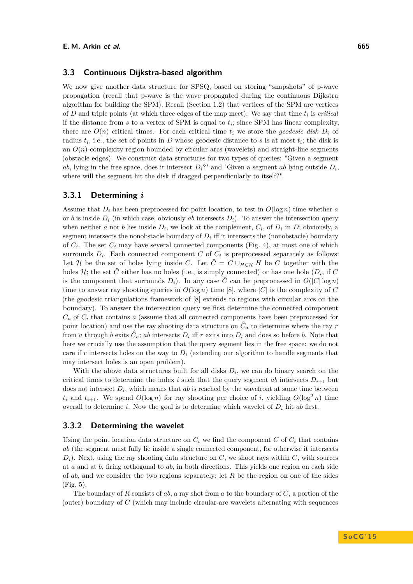#### <span id="page-7-0"></span>**3.3 Continuous Dijkstra-based algorithm**

We now give another data structure for SPSQ, based on storing "snapshots" of p-wave propagation (recall that p-wave is the wave propagated during the continuous Dijkstra algorithm for building the SPM). Recall (Section [1.2\)](#page-1-1) that vertices of the SPM are vertices of *D* and triple points (at which three edges of the map meet). We say that time *t<sup>i</sup>* is *critical* if the distance from *s* to a vertex of SPM is equal to *t<sup>i</sup>* ; since SPM has linear complexity, there are  $O(n)$  critical times. For each critical time  $t_i$  we store the *geodesic disk*  $D_i$  of radius *t<sup>i</sup>* , i.e., the set of points in *D* whose geodesic distance to *s* is at most *t<sup>i</sup>* ; the disk is an  $O(n)$ -complexity region bounded by circular arcs (wavelets) and straight-line segments (obstacle edges). We construct data structures for two types of queries: "Given a segment *ab*, lying in the free space, does it intersect  $D_i$ ?" and "Given a segment *ab* lying outside  $D_i$ , where will the segment hit the disk if dragged perpendicularly to itself?".

#### <span id="page-7-1"></span>**3.3.1 Determining** *i*

Assume that  $D_i$  has been preprocessed for point location, to test in  $O(\log n)$  time whether *a* or *b* is inside  $D_i$  (in which case, obviously *ab* intersects  $D_i$ ). To answer the intersection query when neither *a* nor *b* lies inside  $D_i$ , we look at the complement,  $C_i$ , of  $D_i$  in  $D$ ; obviously, a segment intersects the nonobstacle boundary of  $D_i$  iff it intersects the (nonobstacle) boundary of  $C_i$ . The set  $C_i$  may have several connected components (Fig. [4\)](#page-8-0), at most one of which surrounds  $D_i$ . Each connected component *C* of  $C_i$  is preprocessed separately as follows: Let H be the set of holes lying inside *C*. Let  $\hat{C} = C \cup_{H \in \mathcal{H}} H$  be *C* together with the holes  $\mathcal{H}$ ; the set  $\hat{C}$  either has no holes (i.e., is simply connected) or has one hole  $(D_i, \text{ if } C$ is the component that surrounds  $D_i$ ). In any case  $\tilde{C}$  can be preprocessed in  $O(|C|\log n)$ time to answer ray shooting queries in  $O(\log n)$  time [\[8\]](#page-13-15), where  $|C|$  is the complexity of *C* (the geodesic triangulations framework of [\[8\]](#page-13-15) extends to regions with circular arcs on the boundary). To answer the intersection query we first determine the connected component *C<sup>a</sup>* of *C<sup>i</sup>* that contains *a* (assume that all connected components have been preprocessed for point location) and use the ray shooting data structure on  $\hat{C}_a$  to determine where the ray *r* from *a* through *b* exits  $\hat{C}_a$ ; *ab* intersects  $D_i$  iff *r* exits into  $D_i$  and does so before *b*. Note that here we crucially use the assumption that the query segment lies in the free space: we do not care if r intersects holes on the way to  $D_i$  (extending our algorithm to handle segments that may intersect holes is an open problem).

With the above data structures built for all disks  $D_i$ , we can do binary search on the critical times to determine the index *i* such that the query segment *ab* intersects  $D_{i+1}$  but does not intersect  $D_i$ , which means that *ab* is reached by the wavefront at some time between  $t_i$  and  $t_{i+1}$ . We spend  $O(\log n)$  for ray shooting per choice of *i*, yielding  $O(\log^2 n)$  time overall to determine *i*. Now the goal is to determine which wavelet of *D<sup>i</sup>* hit *ab* first.

#### <span id="page-7-2"></span>**3.3.2 Determining the wavelet**

Using the point location data structure on  $C_i$  we find the component  $C$  of  $C_i$  that contains *ab* (the segment must fully lie inside a single connected component, for otherwise it intersects  $D_i$ ). Next, using the ray shooting data structure on *C*, we shoot rays within *C*, with sources at *a* and at *b*, firing orthogonal to *ab*, in both directions. This yields one region on each side of *ab*, and we consider the two regions separately; let *R* be the region on one of the sides (Fig. [5\)](#page-8-0).

The boundary of *R* consists of *ab*, a ray shot from *a* to the boundary of *C*, a portion of the (outer) boundary of *C* (which may include circular-arc wavelets alternating with sequences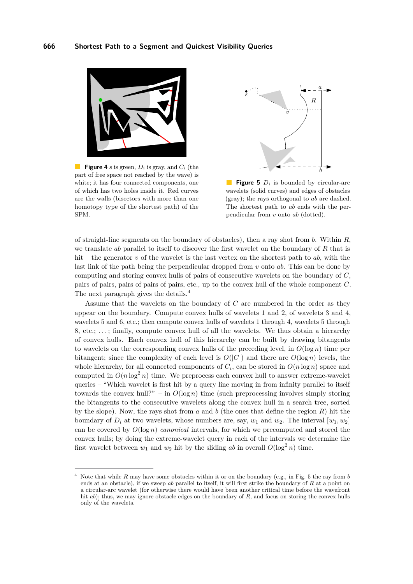<span id="page-8-0"></span>

**Figure 4** *s* is green, *D<sup>i</sup>* is gray, and *C<sup>i</sup>* (the part of free space not reached by the wave) is white; it has four connected components, one of which has two holes inside it. Red curves are the walls (bisectors with more than one homotopy type of the shortest path) of the SPM.



**Figure 5**  $D_i$  is bounded by circular-arc wavelets (solid curves) and edges of obstacles (gray); the rays orthogonal to *ab* are dashed. The shortest path to *ab* ends with the perpendicular from *v* onto *ab* (dotted).

of straight-line segments on the boundary of obstacles), then a ray shot from *b*. Within *R*, we translate *ab* parallel to itself to discover the first wavelet on the boundary of *R* that is hit – the generator *v* of the wavelet is the last vertex on the shortest path to *ab*, with the last link of the path being the perpendicular dropped from *v* onto *ab*. This can be done by computing and storing convex hulls of pairs of consecutive wavelets on the boundary of *C*, pairs of pairs, pairs of pairs of pairs, etc., up to the convex hull of the whole component *C*. The next paragraph gives the details.<sup>[4](#page-8-1)</sup>

Assume that the wavelets on the boundary of *C* are numbered in the order as they appear on the boundary. Compute convex hulls of wavelets 1 and 2, of wavelets 3 and 4, wavelets 5 and 6, etc.; then compute convex hulls of wavelets 1 through 4, wavelets 5 through 8, etc.; ...; finally, compute convex hull of all the wavelets. We thus obtain a hierarchy of convex hulls. Each convex hull of this hierarchy can be built by drawing bitangents to wavelets on the corresponding convex hulls of the preceding level, in  $O(\log n)$  time per bitangent; since the complexity of each level is  $O(|C|)$  and there are  $O(\log n)$  levels, the whole hierarchy, for all connected components of  $C_i$ , can be stored in  $O(n \log n)$  space and computed in  $O(n \log^2 n)$  time. We preprocess each convex hull to answer extreme-wavelet queries – "Which wavelet is first hit by a query line moving in from infinity parallel to itself towards the convex hull?" – in  $O(\log n)$  time (such preprocessing involves simply storing the bitangents to the consecutive wavelets along the convex hull in a search tree, sorted by the slope). Now, the rays shot from *a* and *b* (the ones that define the region *R*) hit the boundary of  $D_i$  at two wavelets, whose numbers are, say,  $w_1$  and  $w_2$ . The interval  $[w_1, w_2]$ can be covered by *O*(log *n*) *canonical* intervals, for which we precomputed and stored the convex hulls; by doing the extreme-wavelet query in each of the intervals we determine the first wavelet between  $w_1$  and  $w_2$  hit by the sliding *ab* in overall  $O(\log^2 n)$  time.

<span id="page-8-1"></span><sup>4</sup> Note that while *R* may have some obstacles within it or on the boundary (e.g., in Fig. [5](#page-8-0) the ray from *b* ends at an obstacle), if we sweep *ab* parallel to itself, it will first strike the boundary of *R* at a point on a circular-arc wavelet (for otherwise there would have been another critical time before the wavefront hit *ab*); thus, we may ignore obstacle edges on the boundary of *R*, and focus on storing the convex hulls only of the wavelets.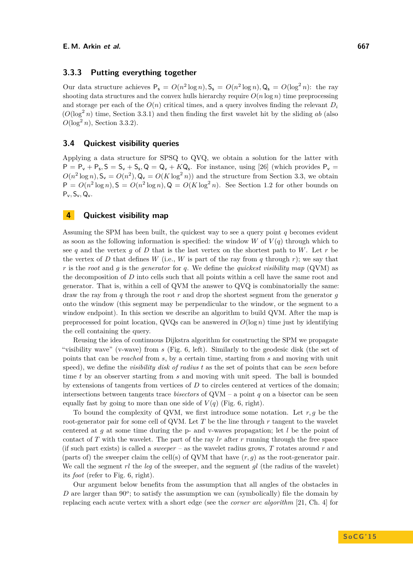## **3.3.3 Putting everything together**

Our data structure achieves  $P_s = O(n^2 \log n)$ ,  $S_s = O(n^2 \log n)$ ,  $Q_s = O(\log^2 n)$ : the ray shooting data structures and the convex hulls hierarchy require  $O(n \log n)$  time preprocessing and storage per each of the  $O(n)$  critical times, and a query involves finding the relevant  $D_i$  $(O(\log^2 n)$  time, Section [3.3.1\)](#page-7-1) and then finding the first wavelet hit by the sliding *ab* (also  $O(\log^2 n)$ , Section [3.3.2\)](#page-7-2).

#### **3.4 Quickest visibility queries**

Applying a data structure for SPSQ to QVQ, we obtain a solution for the latter with  $P = P_v + P_s, S = S_v + S_s, Q = Q_v + KQ_s.$  For instance, using [\[26\]](#page-14-10) (which provides  $P_v =$  $O(n^2 \log n)$ ,  $S_v = O(n^2)$ ,  $Q_v = O(K \log^2 n)$  and the structure from Section [3.3,](#page-7-0) we obtain  $P = O(n^2 \log n)$ ,  $S = O(n^2 \log n)$ ,  $Q = O(K \log^2 n)$ . See Section [1.2](#page-1-1) for other bounds on Pv*,* Sv*,* Qv.

## <span id="page-9-0"></span>**4 Quickest visibility map**

Assuming the SPM has been built, the quickest way to see a query point *q* becomes evident as soon as the following information is specified: the window *W* of  $V(q)$  through which to see q and the vertex q of D that is the last vertex on the shortest path to  $W$ . Let  $r$  be the vertex of *D* that defines *W* (i.e., *W* is part of the ray from *q* through *r*); we say that *r* is the *root* and *g* is the *generator* for *q*. We define the *quickest visibility map* (QVM) as the decomposition of *D* into cells such that all points within a cell have the same root and generator. That is, within a cell of QVM the answer to QVQ is combinatorially the same: draw the ray from *q* through the root *r* and drop the shortest segment from the generator *g* onto the window (this segment may be perpendicular to the window, or the segment to a window endpoint). In this section we describe an algorithm to build QVM. After the map is preprocessed for point location, QVQs can be answered in *O*(log *n*) time just by identifying the cell containing the query.

Reusing the idea of continuous Dijkstra algorithm for constructing the SPM we propagate "visibility wave" (v-wave) from *s* (Fig. [6,](#page-10-0) left). Similarly to the geodesic disk (the set of points that can be *reached* from *s*, by a certain time, starting from *s* and moving with unit speed), we define the *visibility disk of radius t* as the set of points that can be *seen* before time *t* by an observer starting from *s* and moving with unit speed. The ball is bounded by extensions of tangents from vertices of *D* to circles centered at vertices of the domain; intersections between tangents trace *bisectors* of QVM – a point *q* on a bisector can be seen equally fast by going to more than one side of  $V(q)$  (Fig. [6,](#page-10-0) right).

To bound the complexity of QVM, we first introduce some notation. Let *r, g* be the root-generator pair for some cell of QVM. Let *T* be the line through *r* tangent to the wavelet centered at *g* at some time during the p- and v-waves propagation; let *l* be the point of contact of  $T$  with the wavelet. The part of the ray  $\ln \ln r$  running through the free space (if such part exists) is called a *sweeper* – as the wavelet radius grows, *T* rotates around *r* and (parts of) the sweeper claim the cell(s) of QVM that have  $(r, q)$  as the root-generator pair. We call the segment *rl* the *leg* of the sweeper, and the segment *gl* (the radius of the wavelet) its *foot* (refer to Fig. [6,](#page-10-0) right).

Our argument below benefits from the assumption that all angles of the obstacles in D are larger than 90<sup>o</sup>; to satisfy the assumption we can (symbolically) file the domain by replacing each acute vertex with a short edge (see the *corner arc algorithm* [\[21,](#page-14-19) Ch. 4] for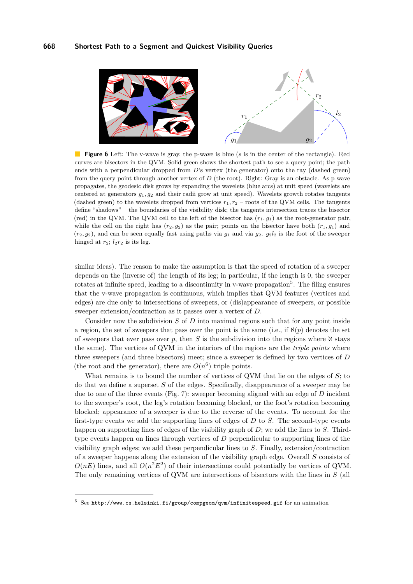<span id="page-10-0"></span>

**Figure 6** Left: The v-wave is gray, the p-wave is blue (*s* is in the center of the rectangle). Red curves are bisectors in the QVM. Solid green shows the shortest path to see a query point; the path ends with a perpendicular dropped from *D*'s vertex (the generator) onto the ray (dashed green) from the query point through another vertex of *D* (the root). Right: Gray is an obstacle. As p-wave propagates, the geodesic disk grows by expanding the wavelets (blue arcs) at unit speed (wavelets are centered at generators *g*1*, g*<sup>2</sup> and their radii grow at unit speed). Wavelets growth rotates tangents (dashed green) to the wavelets dropped from vertices  $r_1, r_2$  – roots of the QVM cells. The tangents define "shadows" – the boundaries of the visibility disk; the tangents intersection traces the bisector (red) in the QVM. The QVM cell to the left of the bisector has  $(r_1, g_1)$  as the root-generator pair, while the cell on the right has  $(r_2, g_2)$  as the pair; points on the bisector have both  $(r_1, g_1)$  and  $(r_2, g_2)$ , and can be seen equally fast using paths via  $g_1$  and via  $g_2$ .  $g_2l_2$  is the foot of the sweeper hinged at  $r_2$ ;  $l_2r_2$  is its leg.

similar ideas). The reason to make the assumption is that the speed of rotation of a sweeper depends on the (inverse of) the length of its leg; in particular, if the length is 0, the sweeper rotates at infinite speed, leading to a discontinuity in v-wave propagation<sup>[5](#page-10-1)</sup>. The filing ensures that the v-wave propagation is continuous, which implies that QVM features (vertices and edges) are due only to intersections of sweepers, or (dis)appearance of sweepers, or possible sweeper extension/contraction as it passes over a vertex of *D*.

Consider now the subdivision *S* of *D* into maximal regions such that for any point inside a region, the set of sweepers that pass over the point is the same (i.e., if  $\aleph(p)$  denotes the set of sweepers that ever pass over  $p$ , then  $S$  is the subdivision into the regions where  $\aleph$  stays the same). The vertices of QVM in the interiors of the regions are the *triple points* where three sweepers (and three bisectors) meet; since a sweeper is defined by two vertices of *D* (the root and the generator), there are  $O(n^6)$  triple points.

What remains is to bound the number of vertices of QVM that lie on the edges of *S*; to do that we define a superset  $\overline{S}$  of the edges. Specifically, disappearance of a sweeper may be due to one of the three events (Fig. [7\)](#page-11-1): sweeper becoming aligned with an edge of *D* incident to the sweeper's root, the leg's rotation becoming blocked, or the foot's rotation becoming blocked; appearance of a sweeper is due to the reverse of the events. To account for the first-type events we add the supporting lines of edges of  $D$  to  $\overline{S}$ . The second-type events happen on supporting lines of edges of the visibility graph of  $D$ ; we add the lines to  $\overline{S}$ . Thirdtype events happen on lines through vertices of *D* perpendicular to supporting lines of the visibility graph edges; we add these perpendicular lines to  $\overline{S}$ . Finally, extension/contraction of a sweeper happens along the extension of the visibility graph edge. Overall *S* consists of  $O(nE)$  lines, and all  $O(n^2E^2)$  of their intersections could potentially be vertices of QVM. The only remaining vertices of OVM are intersections of bisectors with the lines in  $\bar{S}$  (all

<span id="page-10-1"></span> $5$  See <http://www.cs.helsinki.fi/group/compgeom/qvm/infinitespeed.gif> for an animation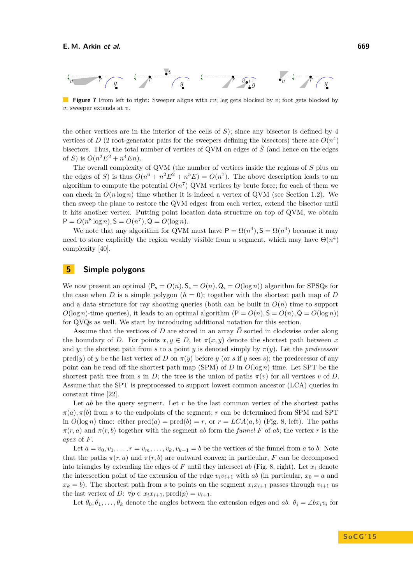<span id="page-11-1"></span>

**Figure 7** From left to right: Sweeper aligns with *rv*; leg gets blocked by *v*; foot gets blocked by *v*; sweeper extends at *v*.

the other vertices are in the interior of the cells of *S*); since any bisector is defined by 4 vertices of *D* (2 root-generator pairs for the sweepers defining the bisectors) there are  $O(n^4)$ bisectors. Thus, the total number of vertices of QVM on edges of  $\overline{S}$  (and hence on the edges of *S*) is  $O(n^2E^2 + n^4En)$ .

The overall complexity of QVM (the number of vertices inside the regions of *S* plus on the edges of *S*) is thus  $O(n^6 + n^2E^2 + n^5E) = O(n^7)$ . The above description leads to an algorithm to compute the potential  $O(n^7)$  QVM vertices by brute force; for each of them we can check in  $O(n \log n)$  time whether it is indeed a vertex of OVM (see Section [1.2\)](#page-1-1). We then sweep the plane to restore the QVM edges: from each vertex, extend the bisector until it hits another vertex. Putting point location data structure on top of QVM, we obtain  $P = O(n^8 \log n), S = O(n^7), Q = O(\log n).$ 

We note that any algorithm for QVM must have  $P = \Omega(n^4)$ ,  $S = \Omega(n^4)$  because it may need to store explicitly the region weakly visible from a segment, which may have  $\Theta(n^4)$ complexity [\[40\]](#page-15-4).

# <span id="page-11-0"></span>**5 Simple polygons**

We now present an optimal  $(P_s = O(n), S_s = O(n), Q_s = O(\log n))$  algorithm for SPSQs for the case when *D* is a simple polygon  $(h = 0)$ ; together with the shortest path map of *D* and a data structure for ray shooting queries (both can be built in  $O(n)$ ) time to support  $O(\log n)$ -time queries), it leads to an optimal algorithm  $(P = O(n), S = O(n), Q = O(\log n))$ for QVQs as well. We start by introducing additional notation for this section.

Assume that the vertices of *D* are stored in an array  $\vec{D}$  sorted in clockwise order along the boundary of *D*. For points  $x, y \in D$ , let  $\pi(x, y)$  denote the shortest path between x and *y*; the shortest path from *s* to a point *y* is denoted simply by  $\pi(y)$ . Let the *predecessor* pred(*y*) of *y* be the last vertex of *D* on  $\pi(y)$  before *y* (or *s* if *y* sees *s*); the predecessor of any point can be read off the shortest path map (SPM) of *D* in *O*(log *n*) time. Let SPT be the shortest path tree from *s* in *D*; the tree is the union of paths  $\pi(v)$  for all vertices *v* of *D*. Assume that the SPT is preprocessed to support lowest common ancestor (LCA) queries in constant time [\[22\]](#page-14-20).

Let *ab* be the query segment. Let *r* be the last common vertex of the shortest paths  $\pi(a), \pi(b)$  from *s* to the endpoints of the segment; *r* can be determined from SPM and SPT in  $O(\log n)$  time: either  $\text{pred}(a) = \text{pred}(b) = r$ , or  $r = LCA(a, b)$  (Fig. [8,](#page-12-0) left). The paths  $\pi(r, a)$  and  $\pi(r, b)$  together with the segment *ab* form the *funnel F* of *ab*; the vertex *r* is the *apex* of *F*.

Let  $a = v_0, v_1, \ldots, r = v_m, \ldots, v_k, v_{k+1} = b$  be the vertices of the funnel from *a* to *b*. Note that the paths  $\pi(r, a)$  and  $\pi(r, b)$  are outward convex; in particular, *F* can be decomposed into triangles by extending the edges of  $F$  until they intersect *ab* (Fig. [8,](#page-12-0) right). Let  $x_i$  denote the intersection point of the extension of the edge  $v_i v_{i+1}$  with *ab* (in particular,  $x_0 = a$  and  $x_k = b$ . The shortest path from *s* to points on the segment  $x_i x_{i+1}$  passes through  $v_{i+1}$  as the last vertex of *D*:  $\forall p \in x_i x_{i+1}, \text{pred}(p) = v_{i+1}.$ 

Let  $\theta_0, \theta_1, \ldots, \theta_k$  denote the angles between the extension edges and *ab*:  $\theta_i = \angle bx_i v_i$  for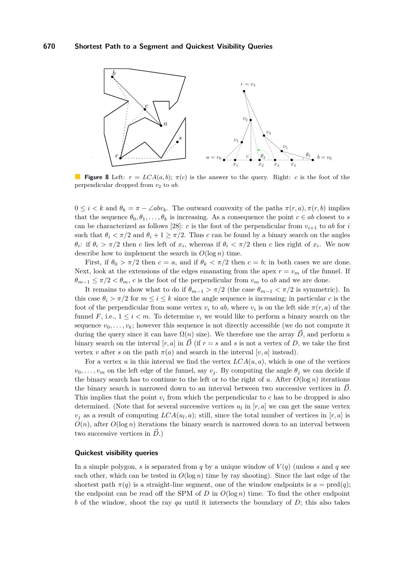<span id="page-12-0"></span>

**Figure 8** Left:  $r = LCA(a, b); \pi(c)$  is the answer to the query. Right: *c* is the foot of the perpendicular dropped from *v*<sup>2</sup> to *ab*.

 $0 \leq i < k$  and  $\theta_k = \pi - \angle abv_k$ . The outward convexity of the paths  $\pi(r, a), \pi(r, b)$  implies that the sequence  $\theta_0, \theta_1, \ldots, \theta_k$  is increasing. As a consequence the point  $c \in ab$  closest to *s* can be characterized as follows [\[28\]](#page-14-2): *c* is the foot of the perpendicular from  $v_{i+1}$  to *ab* for *i* such that  $\theta_i < \pi/2$  and  $\theta_i + 1 \geq \pi/2$ . Thus *c* can be found by a binary search on the angles *θ*<sub>*i*</sub>: if  $\theta_i > \pi/2$  then *c* lies left of  $x_i$ , whereas if  $\theta_i < \pi/2$  then *c* lies right of  $x_i$ . We now describe how to implement the search in  $O(\log n)$  time.

First, if  $\theta_0 > \pi/2$  then  $c = a$ , and if  $\theta_k < \pi/2$  then  $c = b$ ; in both cases we are done. Next, look at the extensions of the edges emanating from the apex  $r = v_m$  of the funnel. If  $\theta_{m-1} \leq \pi/2 < \theta_m$ , *c* is the foot of the perpendicular from  $v_m$  to *ab* and we are done.

It remains to show what to do if  $\theta_{m-1} > \pi/2$  (the case  $\theta_{m-1} < \pi/2$  is symmetric). In this case  $\theta_i > \pi/2$  for  $m \leq i \leq k$  since the angle sequence is increasing; in particular *c* is the foot of the perpendicular from some vertex  $v_i$  to  $ab$ , where  $v_i$  is on the left side  $\pi(r, a)$  of the funnel *F*, i.e.,  $1 \leq i \leq m$ . To determine  $v_i$  we would like to perform a binary search on the sequence  $v_0, \ldots, v_k$ ; however this sequence is not directly accessible (we do not compute it during the query since it can have  $\Omega(n)$  size). We therefore use the array  $\overline{D}$ , and perform a binary search on the interval  $[r, a]$  in  $\overrightarrow{D}$  (if  $r = s$  and *s* is not a vertex of *D*, we take the first vertex *v* after *s* on the path  $\pi(a)$  and search in the interval [*v, a*] instead).

For a vertex  $u$  in this interval we find the vertex  $LCA(u, a)$ , which is one of the vertices  $v_0, \ldots, v_m$  on the left edge of the funnel, say  $v_j$ . By computing the angle  $\theta_j$  we can decide if the binary search has to continue to the left or to the right of *u*. After  $O(\log n)$  iterations the binary search is narrowed down to an interval between two successive vertices in  $\ddot{D}$ . This implies that the point  $v_i$  from which the perpendicular to  $c$  has to be dropped is also determined. (Note that for several successive vertices  $u_l$  in  $[r, a]$  we can get the same vertex  $v_j$  as a result of computing  $LCA(u_l, a)$ ; still, since the total number of vertices in  $[r, a]$  is  $O(n)$ , after  $O(\log n)$  iterations the binary search is narrowed down to an interval between two successive vertices in  $\vec{D}$ .)

#### **Quickest visibility queries**

In a simple polygon, *s* is separated from *q* by a unique window of  $V(q)$  (unless *s* and *q* see each other, which can be tested in  $O(\log n)$  time by ray shooting). Since the last edge of the shortest path  $\pi(q)$  is a straight-line segment, one of the window endpoints is  $a = \text{pred}(q)$ ; the endpoint can be read off the SPM of *D* in  $O(\log n)$  time. To find the other endpoint *b* of the window, shoot the ray *qa* until it intersects the boundary of *D*; this also takes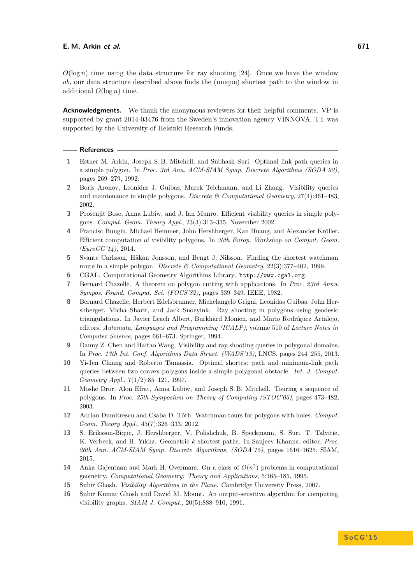$O(\log n)$  time using the data structure for ray shooting [\[24\]](#page-14-21). Once we have the window *ab*, our data structure described above finds the (unique) shortest path to the window in additional *O*(log *n*) time.

**Acknowledgments.** We thank the anonymous reviewers for their helpful comments. VP is supported by grant 2014-03476 from the Sweden's innovation agency VINNOVA. TT was supported by the University of Helsinki Research Funds.

#### **References**

- <span id="page-13-12"></span>**1** Esther M. Arkin, Joseph S. B. Mitchell, and Subhash Suri. Optimal link path queries in a simple polygon. In *Proc. 3rd Ann. ACM-SIAM Symp. Discrete Algorithms (SODA'92)*, pages 269–279, 1992.
- <span id="page-13-3"></span>**2** Boris Aronov, Leonidas J. Guibas, Marek Teichmann, and Li Zhang. Visibility queries and maintenance in simple polygons. *Discrete & Computational Geometry*, 27(4):461–483, 2002.
- <span id="page-13-2"></span>**3** Prosenjit Bose, Anna Lubiw, and J. Ian Munro. Efficient visibility queries in simple polygons. *Comput. Geom. Theory Appl.*, 23(3):313–335, November 2002.
- <span id="page-13-5"></span>**4** Francisc Bungiu, Michael Hemmer, John Hershberger, Kan Huang, and Alexander Kröller. Efficient computation of visibility polygons. In *30th Europ. Workshop on Comput. Geom. (EuroCG'14)*, 2014.
- <span id="page-13-8"></span>**5** Svante Carlsson, Håkan Jonsson, and Bengt J. Nilsson. Finding the shortest watchman route in a simple polygon. *Discrete & Computational Geometry*, 22(3):377–402, 1999.
- <span id="page-13-6"></span>**6** CGAL. Computational Geometry Algorithms Library. <http://www.cgal.org>.
- <span id="page-13-0"></span>**7** Bernard Chazelle. A theorem on polygon cutting with applications. In *Proc. 23rd Annu. Sympos. Found. Comput. Sci. (FOCS'82)*, pages 339–349. IEEE, 1982.
- <span id="page-13-15"></span>**8** Bernard Chazelle, Herbert Edelsbrunner, Michelangelo Grigni, Leonidas Guibas, John Hershberger, Micha Sharir, and Jack Snoeyink. Ray shooting in polygons using geodesic triangulations. In Javier Leach Albert, Burkhard Monien, and Mario Rodríguez Artalejo, editors, *Automata, Languages and Programming (ICALP)*, volume 510 of *Lecture Notes in Computer Science*, pages 661–673. Springer, 1994.
- <span id="page-13-4"></span>**9** Danny Z. Chen and Haitao Wang. Visibility and ray shooting queries in polygonal domains. In *Proc. 13th Int. Conf. Algorithms Data Struct. (WADS'13)*, LNCS, pages 244–255, 2013.
- <span id="page-13-11"></span>**10** Yi-Jen Chiang and Roberto Tamassia. Optimal shortest path and minimum-link path queries between two convex polygons inside a simple polygonal obstacle. *Int. J. Comput. Geometry Appl.*, 7(1/2):85–121, 1997.
- <span id="page-13-10"></span>**11** Moshe Dror, Alon Efrat, Anna Lubiw, and Joseph S. B. Mitchell. Touring a sequence of polygons. In *Proc. 35th Symposium on Theory of Computing (STOC'03)*, pages 473–482, 2003.
- <span id="page-13-9"></span>**12** Adrian Dumitrescu and Csaba D. Tóth. Watchman tours for polygons with holes. *Comput. Geom. Theory Appl.*, 45(7):326–333, 2012.
- <span id="page-13-1"></span>**13** S. Eriksson-Bique, J. Hershberger, V. Polishchuk, B. Speckmann, S. Suri, T. Talvitie, K. Verbeek, and H. Yıldız. Geometric *k* shortest paths. In Sanjeev Khanna, editor, *Proc. 26th Ann. ACM-SIAM Symp. Discrete Algorithms, (SODA'15)*, pages 1616–1625. SIAM, 2015.
- <span id="page-13-13"></span>14 Anka Gajentaan and Mark H. Overmars. On a class of  $O(n^2)$  problems in computational geometry. *Computational Geometry: Theory and Applications*, 5:165–185, 1995.
- <span id="page-13-7"></span>**15** Subir Ghosh. *Visibility Algorithms in the Plane*. Cambridge University Press, 2007.
- <span id="page-13-14"></span>**16** Subir Kumar Ghosh and David M. Mount. An output-sensitive algorithm for computing visibility graphs. *SIAM J. Comput.*, 20(5):888–910, 1991.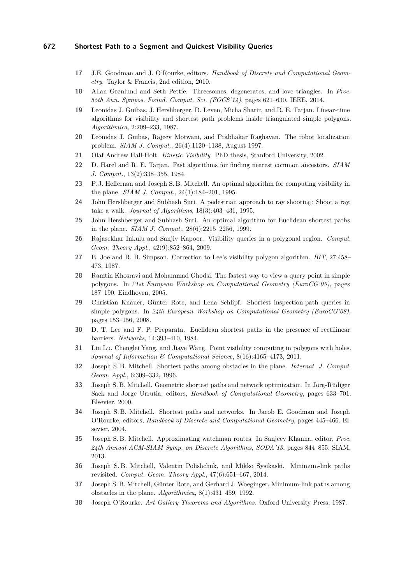#### **672 Shortest Path to a Segment and Quickest Visibility Queries**

- <span id="page-14-12"></span>**17** J.E. Goodman and J. O'Rourke, editors. *Handbook of Discrete and Computational Geometry*. Taylor & Francis, 2nd edition, 2010.
- <span id="page-14-17"></span>**18** Allan Grønlund and Seth Pettie. Threesomes, degenerates, and love triangles. In *Proc. 55th Ann. Sympos. Found. Comput. Sci. (FOCS'14)*, pages 621–630. IEEE, 2014.
- <span id="page-14-4"></span>**19** Leonidas J. Guibas, J. Hershberger, D. Leven, Micha Sharir, and R. E. Tarjan. Linear-time algorithms for visibility and shortest path problems inside triangulated simple polygons. *Algorithmica*, 2:209–233, 1987.
- <span id="page-14-9"></span>**20** Leonidas J. Guibas, Rajeev Motwani, and Prabhakar Raghavan. The robot localization problem. *SIAM J. Comput.*, 26(4):1120–1138, August 1997.
- <span id="page-14-19"></span>**21** Olaf Andrew Hall-Holt. *Kinetic Visibility*. PhD thesis, Stanford University, 2002.
- <span id="page-14-20"></span>**22** D. Harel and R. E. Tarjan. Fast algorithms for finding nearest common ancestors. *SIAM J. Comput.*, 13(2):338–355, 1984.
- <span id="page-14-8"></span>**23** P. J. Heffernan and Joseph S. B. Mitchell. An optimal algorithm for computing visibility in the plane. *SIAM J. Comput.*, 24(1):184–201, 1995.
- <span id="page-14-21"></span>**24** John Hershberger and Subhash Suri. A pedestrian approach to ray shooting: Shoot a ray, take a walk. *Journal of Algorithms*, 18(3):403–431, 1995.
- <span id="page-14-6"></span>**25** John Hershberger and Subhash Suri. An optimal algorithm for Euclidean shortest paths in the plane. *SIAM J. Comput.*, 28(6):2215–2256, 1999.
- <span id="page-14-10"></span>**26** Rajasekhar Inkulu and Sanjiv Kapoor. Visibility queries in a polygonal region. *Comput. Geom. Theory Appl.*, 42(9):852–864, 2009.
- <span id="page-14-7"></span>**27** B. Joe and R. B. Simpson. Correction to Lee's visibility polygon algorithm. *BIT*, 27:458– 473, 1987.
- <span id="page-14-2"></span>**28** Ramtin Khosravi and Mohammad Ghodsi. The fastest way to view a query point in simple polygons. In *21st European Workshop on Computational Geometry (EuroCG'05)*, pages 187–190. Eindhoven, 2005.
- <span id="page-14-18"></span>**29** Christian Knauer, Günter Rote, and Lena Schlipf. Shortest inspection-path queries in simple polygons. In *24th European Workshop on Computational Geometry (EuroCG'08)*, pages 153–156, 2008.
- <span id="page-14-3"></span>**30** D. T. Lee and F. P. Preparata. Euclidean shortest paths in the presence of rectilinear barriers. *Networks*, 14:393–410, 1984.
- <span id="page-14-11"></span>**31** Lin Lu, Chenglei Yang, and Jiaye Wang. Point visibility computing in polygons with holes. *Journal of Information & Computational Science*, 8(16):4165–4173, 2011.
- <span id="page-14-5"></span>**32** Joseph S. B. Mitchell. Shortest paths among obstacles in the plane. *Internat. J. Comput. Geom. Appl.*, 6:309–332, 1996.
- <span id="page-14-0"></span>**33** Joseph S. B. Mitchell. Geometric shortest paths and network optimization. In Jörg-Rüdiger Sack and Jorge Urrutia, editors, *Handbook of Computational Geometry*, pages 633–701. Elsevier, 2000.
- <span id="page-14-1"></span>**34** Joseph S. B. Mitchell. Shortest paths and networks. In Jacob E. Goodman and Joseph O'Rourke, editors, *Handbook of Discrete and Computational Geometry*, pages 445–466. Elsevier, 2004.
- <span id="page-14-16"></span>**35** Joseph S. B. Mitchell. Approximating watchman routes. In Sanjeev Khanna, editor, *Proc. 24th Annual ACM-SIAM Symp. on Discrete Algorithms, SODA'13*, pages 844–855. SIAM, 2013.
- <span id="page-14-15"></span>**36** Joseph S. B. Mitchell, Valentin Polishchuk, and Mikko Sysikaski. Minimum-link paths revisited. *Comput. Geom. Theory Appl.*, 47(6):651–667, 2014.
- <span id="page-14-14"></span>**37** Joseph S. B. Mitchell, Günter Rote, and Gerhard J. Woeginger. Minimum-link paths among obstacles in the plane. *Algorithmica*, 8(1):431–459, 1992.
- <span id="page-14-13"></span>**38** Joseph O'Rourke. *Art Gallery Theorems and Algorithms*. Oxford University Press, 1987.